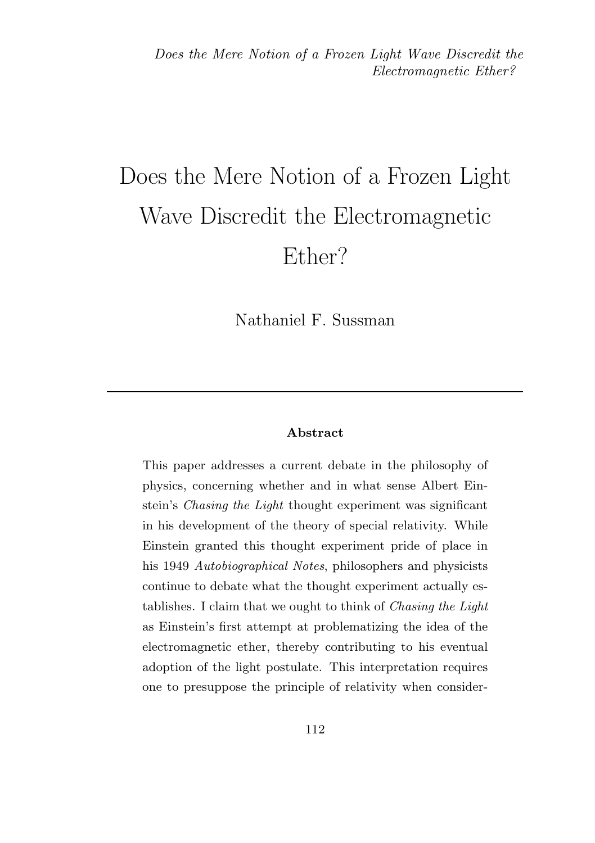# Does the Mere Notion of a Frozen Light Wave Discredit the Electromagnetic Ether?

Nathaniel F. Sussman

#### Abstract

This paper addresses a current debate in the philosophy of physics, concerning whether and in what sense Albert Einstein's Chasing the Light thought experiment was significant in his development of the theory of special relativity. While Einstein granted this thought experiment pride of place in his 1949 Autobiographical Notes, philosophers and physicists continue to debate what the thought experiment actually establishes. I claim that we ought to think of Chasing the Light as Einstein's first attempt at problematizing the idea of the electromagnetic ether, thereby contributing to his eventual adoption of the light postulate. This interpretation requires one to presuppose the principle of relativity when consider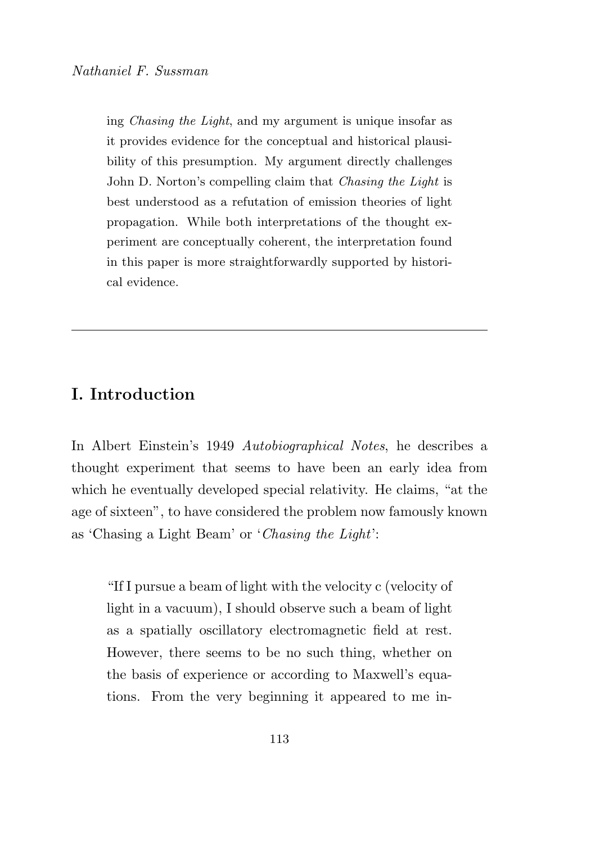ing Chasing the Light, and my argument is unique insofar as it provides evidence for the conceptual and historical plausibility of this presumption. My argument directly challenges John D. Norton's compelling claim that Chasing the Light is best understood as a refutation of emission theories of light propagation. While both interpretations of the thought experiment are conceptually coherent, the interpretation found in this paper is more straightforwardly supported by historical evidence.

## I. Introduction

In Albert Einstein's 1949 Autobiographical Notes, he describes a thought experiment that seems to have been an early idea from which he eventually developed special relativity. He claims, "at the age of sixteen", to have considered the problem now famously known as 'Chasing a Light Beam' or 'Chasing the Light':

"If I pursue a beam of light with the velocity c (velocity of light in a vacuum), I should observe such a beam of light as a spatially oscillatory electromagnetic field at rest. However, there seems to be no such thing, whether on the basis of experience or according to Maxwell's equations. From the very beginning it appeared to me in-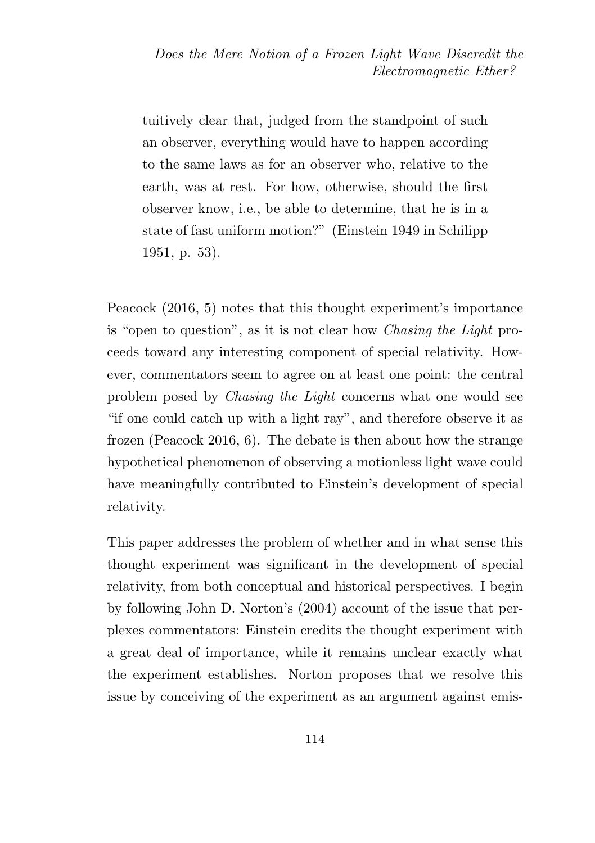tuitively clear that, judged from the standpoint of such an observer, everything would have to happen according to the same laws as for an observer who, relative to the earth, was at rest. For how, otherwise, should the first observer know, i.e., be able to determine, that he is in a state of fast uniform motion?" (Einstein 1949 in Schilipp 1951, p. 53).

Peacock (2016, 5) notes that this thought experiment's importance is "open to question", as it is not clear how Chasing the Light proceeds toward any interesting component of special relativity. However, commentators seem to agree on at least one point: the central problem posed by Chasing the Light concerns what one would see "if one could catch up with a light ray", and therefore observe it as frozen (Peacock 2016, 6). The debate is then about how the strange hypothetical phenomenon of observing a motionless light wave could have meaningfully contributed to Einstein's development of special relativity.

This paper addresses the problem of whether and in what sense this thought experiment was significant in the development of special relativity, from both conceptual and historical perspectives. I begin by following John D. Norton's (2004) account of the issue that perplexes commentators: Einstein credits the thought experiment with a great deal of importance, while it remains unclear exactly what the experiment establishes. Norton proposes that we resolve this issue by conceiving of the experiment as an argument against emis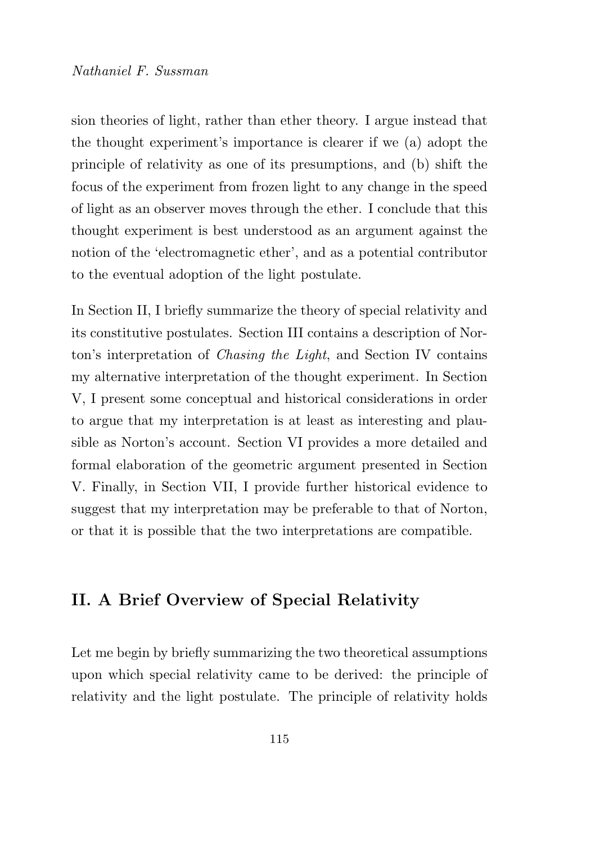sion theories of light, rather than ether theory. I argue instead that the thought experiment's importance is clearer if we (a) adopt the principle of relativity as one of its presumptions, and (b) shift the focus of the experiment from frozen light to any change in the speed of light as an observer moves through the ether. I conclude that this thought experiment is best understood as an argument against the notion of the 'electromagnetic ether', and as a potential contributor to the eventual adoption of the light postulate.

In Section II, I briefly summarize the theory of special relativity and its constitutive postulates. Section III contains a description of Norton's interpretation of Chasing the Light, and Section IV contains my alternative interpretation of the thought experiment. In Section V, I present some conceptual and historical considerations in order to argue that my interpretation is at least as interesting and plausible as Norton's account. Section VI provides a more detailed and formal elaboration of the geometric argument presented in Section V. Finally, in Section VII, I provide further historical evidence to suggest that my interpretation may be preferable to that of Norton, or that it is possible that the two interpretations are compatible.

## II. A Brief Overview of Special Relativity

Let me begin by briefly summarizing the two theoretical assumptions upon which special relativity came to be derived: the principle of relativity and the light postulate. The principle of relativity holds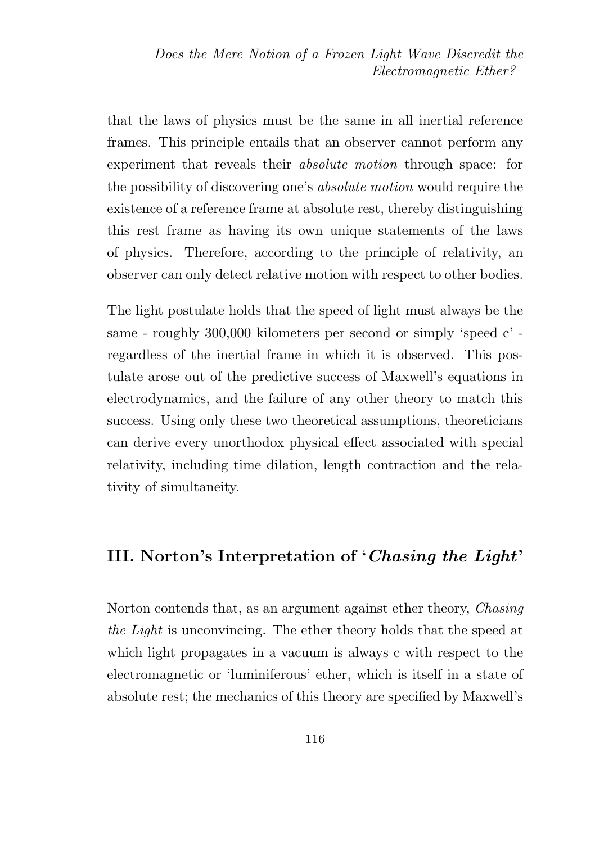that the laws of physics must be the same in all inertial reference frames. This principle entails that an observer cannot perform any experiment that reveals their *absolute motion* through space: for the possibility of discovering one's absolute motion would require the existence of a reference frame at absolute rest, thereby distinguishing this rest frame as having its own unique statements of the laws of physics. Therefore, according to the principle of relativity, an observer can only detect relative motion with respect to other bodies.

The light postulate holds that the speed of light must always be the same - roughly 300,000 kilometers per second or simply 'speed c' regardless of the inertial frame in which it is observed. This postulate arose out of the predictive success of Maxwell's equations in electrodynamics, and the failure of any other theory to match this success. Using only these two theoretical assumptions, theoreticians can derive every unorthodox physical effect associated with special relativity, including time dilation, length contraction and the relativity of simultaneity.

### III. Norton's Interpretation of 'Chasing the Light'

Norton contends that, as an argument against ether theory, Chasing the Light is unconvincing. The ether theory holds that the speed at which light propagates in a vacuum is always c with respect to the electromagnetic or 'luminiferous' ether, which is itself in a state of absolute rest; the mechanics of this theory are specified by Maxwell's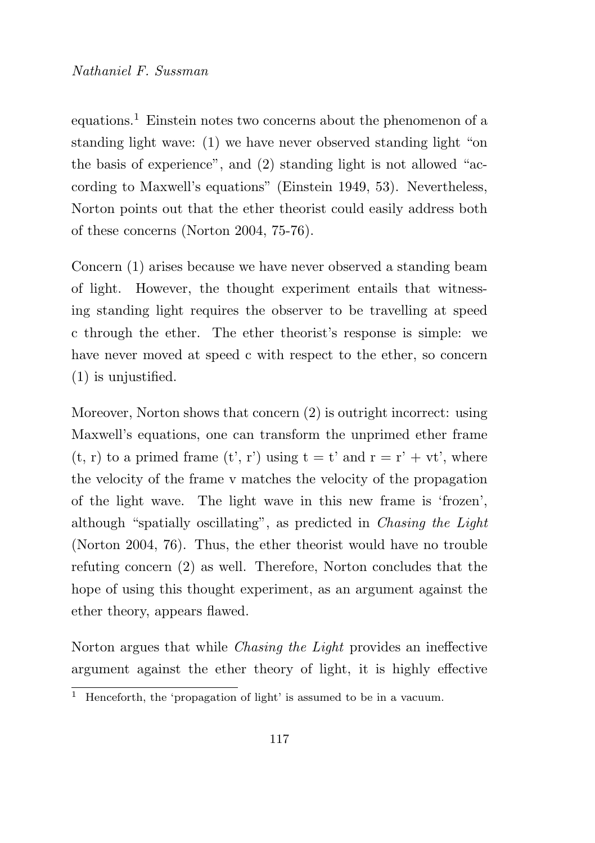equations.<sup>1</sup> Einstein notes two concerns about the phenomenon of a standing light wave: (1) we have never observed standing light "on the basis of experience", and (2) standing light is not allowed "according to Maxwell's equations" (Einstein 1949, 53). Nevertheless, Norton points out that the ether theorist could easily address both of these concerns (Norton 2004, 75-76).

Concern (1) arises because we have never observed a standing beam of light. However, the thought experiment entails that witnessing standing light requires the observer to be travelling at speed c through the ether. The ether theorist's response is simple: we have never moved at speed c with respect to the ether, so concern (1) is unjustified.

Moreover, Norton shows that concern (2) is outright incorrect: using Maxwell's equations, one can transform the unprimed ether frame  $(t, r)$  to a primed frame  $(t', r')$  using  $t = t'$  and  $r = r' + vt'$ , where the velocity of the frame v matches the velocity of the propagation of the light wave. The light wave in this new frame is 'frozen', although "spatially oscillating", as predicted in Chasing the Light (Norton 2004, 76). Thus, the ether theorist would have no trouble refuting concern (2) as well. Therefore, Norton concludes that the hope of using this thought experiment, as an argument against the ether theory, appears flawed.

Norton argues that while Chasing the Light provides an ineffective argument against the ether theory of light, it is highly effective

 $\overline{1}$  Henceforth, the 'propagation of light' is assumed to be in a vacuum.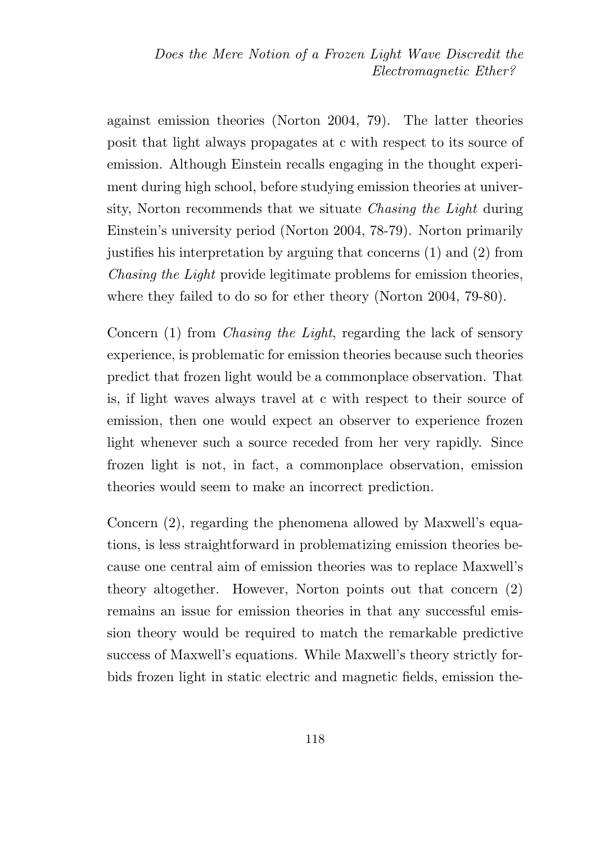against emission theories (Norton 2004, 79). The latter theories posit that light always propagates at c with respect to its source of emission. Although Einstein recalls engaging in the thought experiment during high school, before studying emission theories at university, Norton recommends that we situate Chasing the Light during Einstein's university period (Norton 2004, 78-79). Norton primarily justifies his interpretation by arguing that concerns (1) and (2) from Chasing the Light provide legitimate problems for emission theories, where they failed to do so for ether theory (Norton 2004, 79-80).

Concern (1) from *Chasing the Light*, regarding the lack of sensory experience, is problematic for emission theories because such theories predict that frozen light would be a commonplace observation. That is, if light waves always travel at c with respect to their source of emission, then one would expect an observer to experience frozen light whenever such a source receded from her very rapidly. Since frozen light is not, in fact, a commonplace observation, emission theories would seem to make an incorrect prediction.

Concern (2), regarding the phenomena allowed by Maxwell's equations, is less straightforward in problematizing emission theories because one central aim of emission theories was to replace Maxwell's theory altogether. However, Norton points out that concern (2) remains an issue for emission theories in that any successful emission theory would be required to match the remarkable predictive success of Maxwell's equations. While Maxwell's theory strictly forbids frozen light in static electric and magnetic fields, emission the-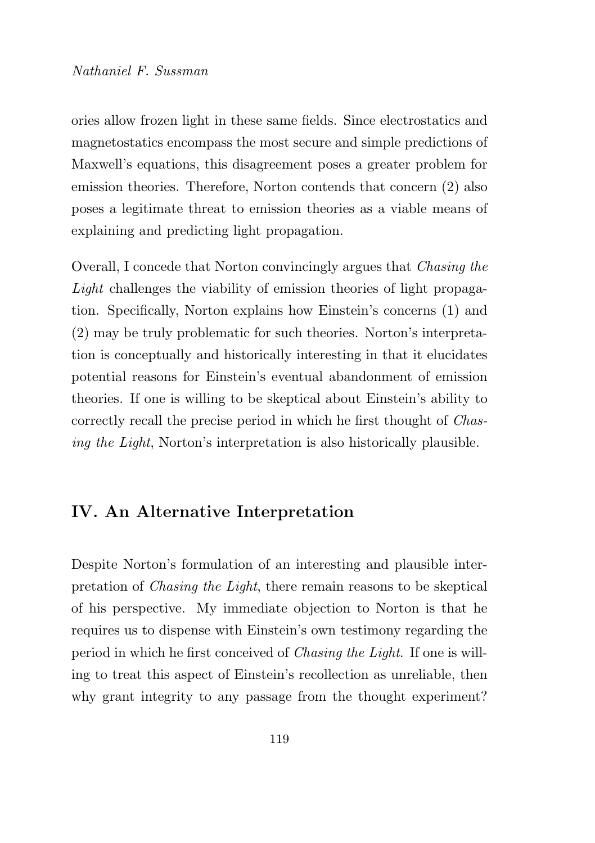#### Nathaniel F. Sussman

ories allow frozen light in these same fields. Since electrostatics and magnetostatics encompass the most secure and simple predictions of Maxwell's equations, this disagreement poses a greater problem for emission theories. Therefore, Norton contends that concern (2) also poses a legitimate threat to emission theories as a viable means of explaining and predicting light propagation.

Overall, I concede that Norton convincingly argues that Chasing the Light challenges the viability of emission theories of light propagation. Specifically, Norton explains how Einstein's concerns (1) and (2) may be truly problematic for such theories. Norton's interpretation is conceptually and historically interesting in that it elucidates potential reasons for Einstein's eventual abandonment of emission theories. If one is willing to be skeptical about Einstein's ability to correctly recall the precise period in which he first thought of Chasing the Light, Norton's interpretation is also historically plausible.

## IV. An Alternative Interpretation

Despite Norton's formulation of an interesting and plausible interpretation of Chasing the Light, there remain reasons to be skeptical of his perspective. My immediate objection to Norton is that he requires us to dispense with Einstein's own testimony regarding the period in which he first conceived of Chasing the Light. If one is willing to treat this aspect of Einstein's recollection as unreliable, then why grant integrity to any passage from the thought experiment?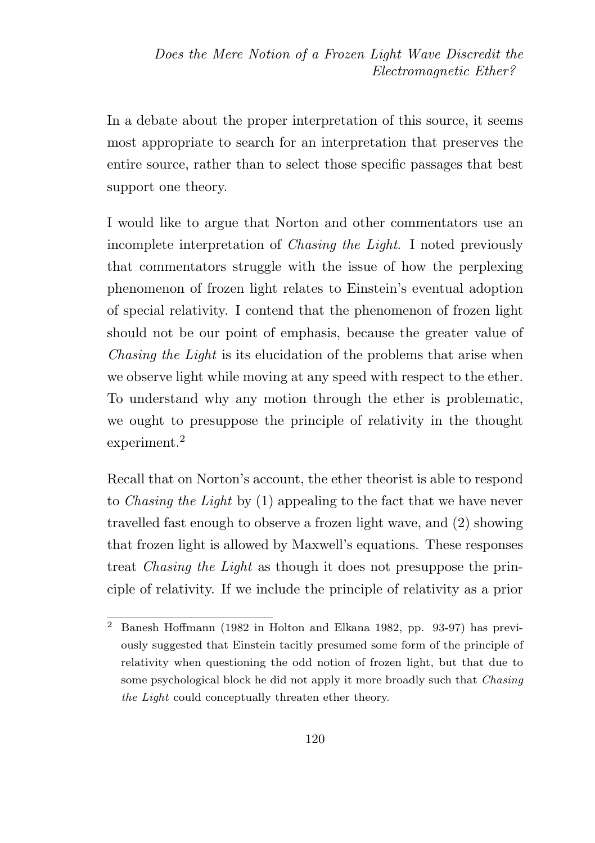In a debate about the proper interpretation of this source, it seems most appropriate to search for an interpretation that preserves the entire source, rather than to select those specific passages that best support one theory.

I would like to argue that Norton and other commentators use an incomplete interpretation of Chasing the Light. I noted previously that commentators struggle with the issue of how the perplexing phenomenon of frozen light relates to Einstein's eventual adoption of special relativity. I contend that the phenomenon of frozen light should not be our point of emphasis, because the greater value of Chasing the Light is its elucidation of the problems that arise when we observe light while moving at any speed with respect to the ether. To understand why any motion through the ether is problematic, we ought to presuppose the principle of relativity in the thought experiment.<sup>2</sup>

Recall that on Norton's account, the ether theorist is able to respond to Chasing the Light by (1) appealing to the fact that we have never travelled fast enough to observe a frozen light wave, and (2) showing that frozen light is allowed by Maxwell's equations. These responses treat Chasing the Light as though it does not presuppose the principle of relativity. If we include the principle of relativity as a prior

<sup>2</sup> Banesh Hoffmann (1982 in Holton and Elkana 1982, pp. 93-97) has previously suggested that Einstein tacitly presumed some form of the principle of relativity when questioning the odd notion of frozen light, but that due to some psychological block he did not apply it more broadly such that *Chasing* the Light could conceptually threaten ether theory.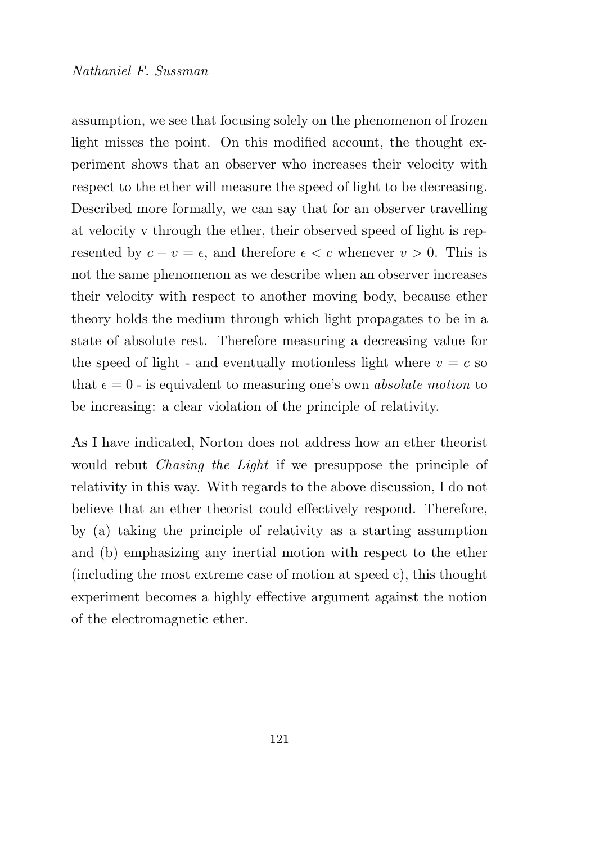assumption, we see that focusing solely on the phenomenon of frozen light misses the point. On this modified account, the thought experiment shows that an observer who increases their velocity with respect to the ether will measure the speed of light to be decreasing. Described more formally, we can say that for an observer travelling at velocity v through the ether, their observed speed of light is represented by  $c - v = \epsilon$ , and therefore  $\epsilon < c$  whenever  $v > 0$ . This is not the same phenomenon as we describe when an observer increases their velocity with respect to another moving body, because ether theory holds the medium through which light propagates to be in a state of absolute rest. Therefore measuring a decreasing value for the speed of light - and eventually motionless light where  $v = c$  so that  $\epsilon = 0$  - is equivalent to measuring one's own *absolute motion* to be increasing: a clear violation of the principle of relativity.

As I have indicated, Norton does not address how an ether theorist would rebut Chasing the Light if we presuppose the principle of relativity in this way. With regards to the above discussion, I do not believe that an ether theorist could effectively respond. Therefore, by (a) taking the principle of relativity as a starting assumption and (b) emphasizing any inertial motion with respect to the ether (including the most extreme case of motion at speed c), this thought experiment becomes a highly effective argument against the notion of the electromagnetic ether.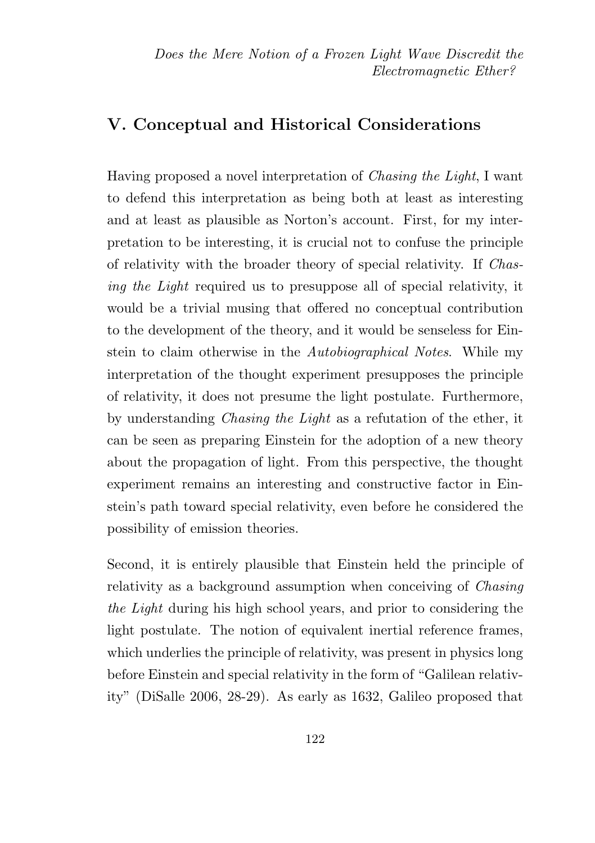#### V. Conceptual and Historical Considerations

Having proposed a novel interpretation of Chasing the Light, I want to defend this interpretation as being both at least as interesting and at least as plausible as Norton's account. First, for my interpretation to be interesting, it is crucial not to confuse the principle of relativity with the broader theory of special relativity. If Chasing the Light required us to presuppose all of special relativity, it would be a trivial musing that offered no conceptual contribution to the development of the theory, and it would be senseless for Einstein to claim otherwise in the Autobiographical Notes. While my interpretation of the thought experiment presupposes the principle of relativity, it does not presume the light postulate. Furthermore, by understanding Chasing the Light as a refutation of the ether, it can be seen as preparing Einstein for the adoption of a new theory about the propagation of light. From this perspective, the thought experiment remains an interesting and constructive factor in Einstein's path toward special relativity, even before he considered the possibility of emission theories.

Second, it is entirely plausible that Einstein held the principle of relativity as a background assumption when conceiving of Chasing the Light during his high school years, and prior to considering the light postulate. The notion of equivalent inertial reference frames, which underlies the principle of relativity, was present in physics long before Einstein and special relativity in the form of "Galilean relativity" (DiSalle 2006, 28-29). As early as 1632, Galileo proposed that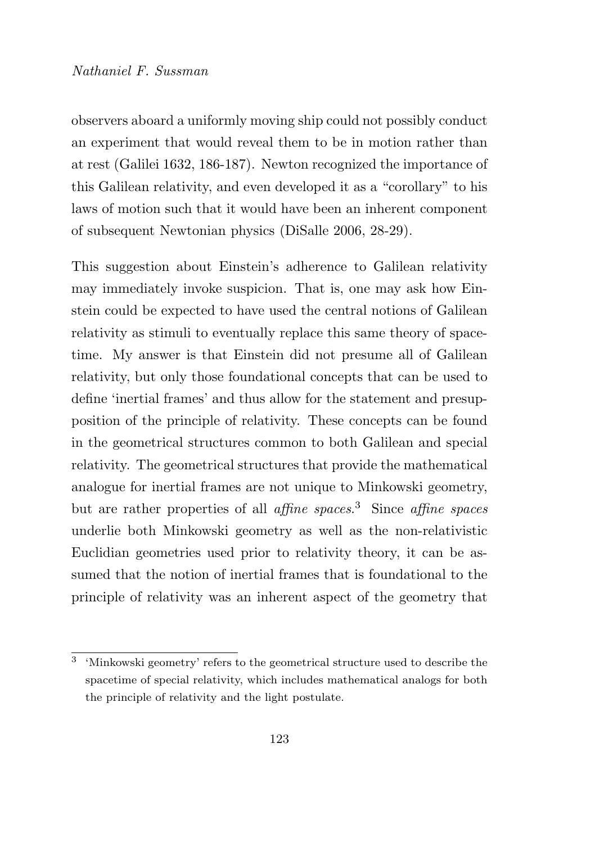#### Nathaniel F. Sussman

observers aboard a uniformly moving ship could not possibly conduct an experiment that would reveal them to be in motion rather than at rest (Galilei 1632, 186-187). Newton recognized the importance of this Galilean relativity, and even developed it as a "corollary" to his laws of motion such that it would have been an inherent component of subsequent Newtonian physics (DiSalle 2006, 28-29).

This suggestion about Einstein's adherence to Galilean relativity may immediately invoke suspicion. That is, one may ask how Einstein could be expected to have used the central notions of Galilean relativity as stimuli to eventually replace this same theory of spacetime. My answer is that Einstein did not presume all of Galilean relativity, but only those foundational concepts that can be used to define 'inertial frames' and thus allow for the statement and presupposition of the principle of relativity. These concepts can be found in the geometrical structures common to both Galilean and special relativity. The geometrical structures that provide the mathematical analogue for inertial frames are not unique to Minkowski geometry, but are rather properties of all *affine spaces*.<sup>3</sup> Since *affine spaces* underlie both Minkowski geometry as well as the non-relativistic Euclidian geometries used prior to relativity theory, it can be assumed that the notion of inertial frames that is foundational to the principle of relativity was an inherent aspect of the geometry that

<sup>&</sup>lt;sup>3</sup> 'Minkowski geometry' refers to the geometrical structure used to describe the spacetime of special relativity, which includes mathematical analogs for both the principle of relativity and the light postulate.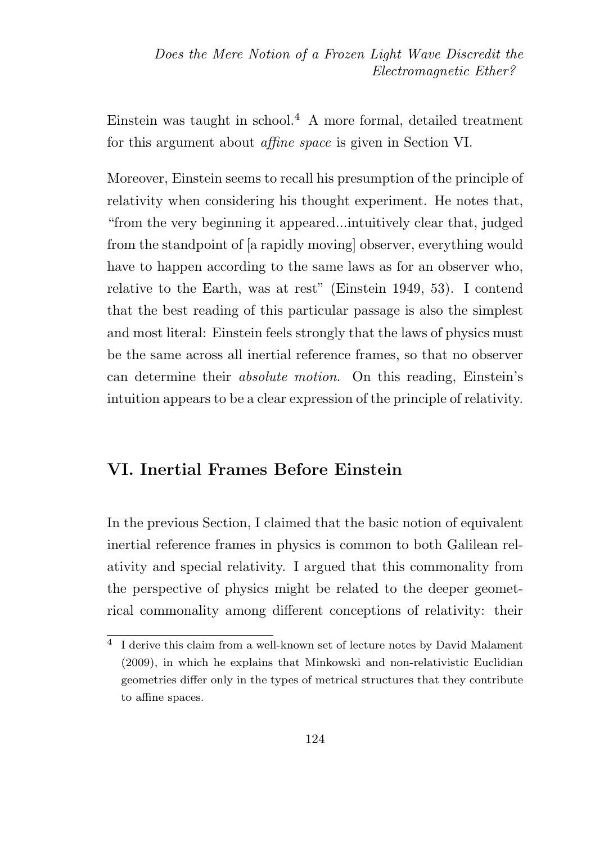Einstein was taught in school.<sup>4</sup> A more formal, detailed treatment for this argument about affine space is given in Section VI.

Moreover, Einstein seems to recall his presumption of the principle of relativity when considering his thought experiment. He notes that, "from the very beginning it appeared...intuitively clear that, judged from the standpoint of [a rapidly moving] observer, everything would have to happen according to the same laws as for an observer who, relative to the Earth, was at rest" (Einstein 1949, 53). I contend that the best reading of this particular passage is also the simplest and most literal: Einstein feels strongly that the laws of physics must be the same across all inertial reference frames, so that no observer can determine their absolute motion. On this reading, Einstein's intuition appears to be a clear expression of the principle of relativity.

### VI. Inertial Frames Before Einstein

In the previous Section, I claimed that the basic notion of equivalent inertial reference frames in physics is common to both Galilean relativity and special relativity. I argued that this commonality from the perspective of physics might be related to the deeper geometrical commonality among different conceptions of relativity: their

<sup>4</sup> I derive this claim from a well-known set of lecture notes by David Malament (2009), in which he explains that Minkowski and non-relativistic Euclidian geometries differ only in the types of metrical structures that they contribute to affine spaces.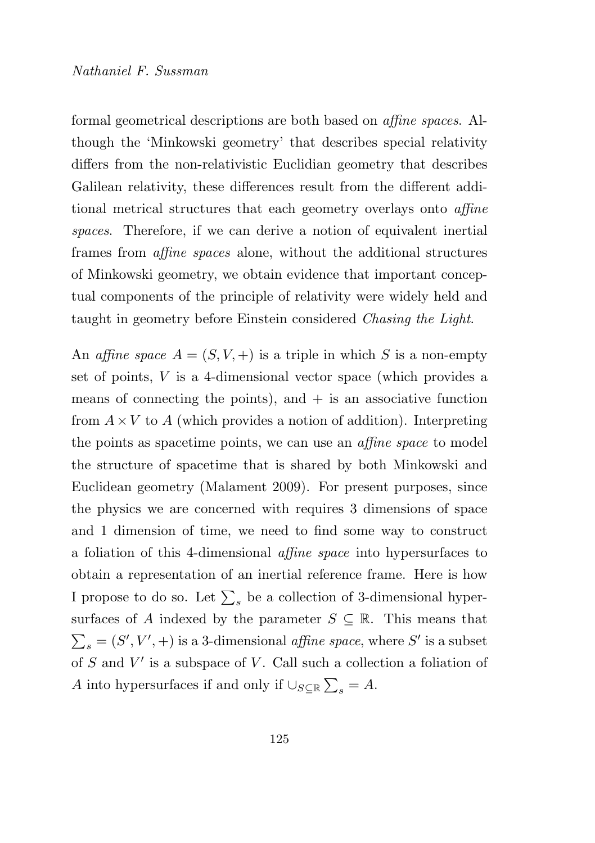formal geometrical descriptions are both based on affine spaces. Although the 'Minkowski geometry' that describes special relativity differs from the non-relativistic Euclidian geometry that describes Galilean relativity, these differences result from the different additional metrical structures that each geometry overlays onto affine spaces. Therefore, if we can derive a notion of equivalent inertial frames from affine spaces alone, without the additional structures of Minkowski geometry, we obtain evidence that important conceptual components of the principle of relativity were widely held and taught in geometry before Einstein considered Chasing the Light.

An affine space  $A = (S, V, +)$  is a triple in which S is a non-empty set of points, V is a 4-dimensional vector space (which provides a means of connecting the points), and  $+$  is an associative function from  $A \times V$  to A (which provides a notion of addition). Interpreting the points as spacetime points, we can use an affine space to model the structure of spacetime that is shared by both Minkowski and Euclidean geometry (Malament 2009). For present purposes, since the physics we are concerned with requires 3 dimensions of space and 1 dimension of time, we need to find some way to construct a foliation of this 4-dimensional affine space into hypersurfaces to obtain a representation of an inertial reference frame. Here is how I propose to do so. Let  $\sum_s$  be a collection of 3-dimensional hypersurfaces of A indexed by the parameter  $S \subseteq \mathbb{R}$ . This means that  $\sum_s = (S', V', +)$  is a 3-dimensional  $\emph{affine space},$  where  $S'$  is a subset of  $S$  and  $V'$  is a subspace of  $V$ . Call such a collection a foliation of A into hypersurfaces if and only if  $\cup_{S\subseteq\mathbb{R}}\sum_s = A$ .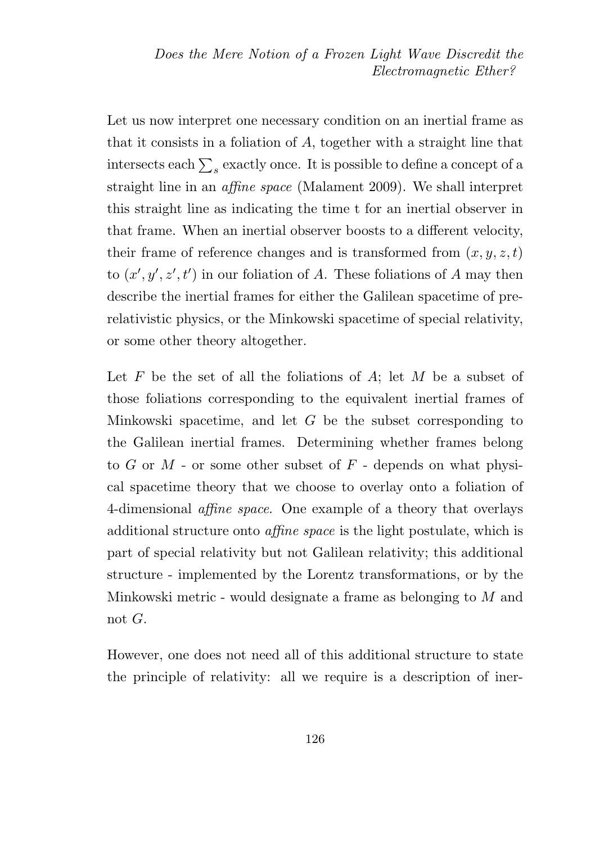Let us now interpret one necessary condition on an inertial frame as that it consists in a foliation of A, together with a straight line that intersects each  $\sum_{s}$  exactly once. It is possible to define a concept of a straight line in an affine space (Malament 2009). We shall interpret this straight line as indicating the time t for an inertial observer in that frame. When an inertial observer boosts to a different velocity, their frame of reference changes and is transformed from  $(x, y, z, t)$ to  $(x', y', z', t')$  in our foliation of A. These foliations of A may then describe the inertial frames for either the Galilean spacetime of prerelativistic physics, or the Minkowski spacetime of special relativity, or some other theory altogether.

Let  $F$  be the set of all the foliations of  $A$ ; let  $M$  be a subset of those foliations corresponding to the equivalent inertial frames of Minkowski spacetime, and let  $G$  be the subset corresponding to the Galilean inertial frames. Determining whether frames belong to  $G$  or  $M$  - or some other subset of  $F$  - depends on what physical spacetime theory that we choose to overlay onto a foliation of 4-dimensional affine space. One example of a theory that overlays additional structure onto affine space is the light postulate, which is part of special relativity but not Galilean relativity; this additional structure - implemented by the Lorentz transformations, or by the Minkowski metric - would designate a frame as belonging to M and not G.

However, one does not need all of this additional structure to state the principle of relativity: all we require is a description of iner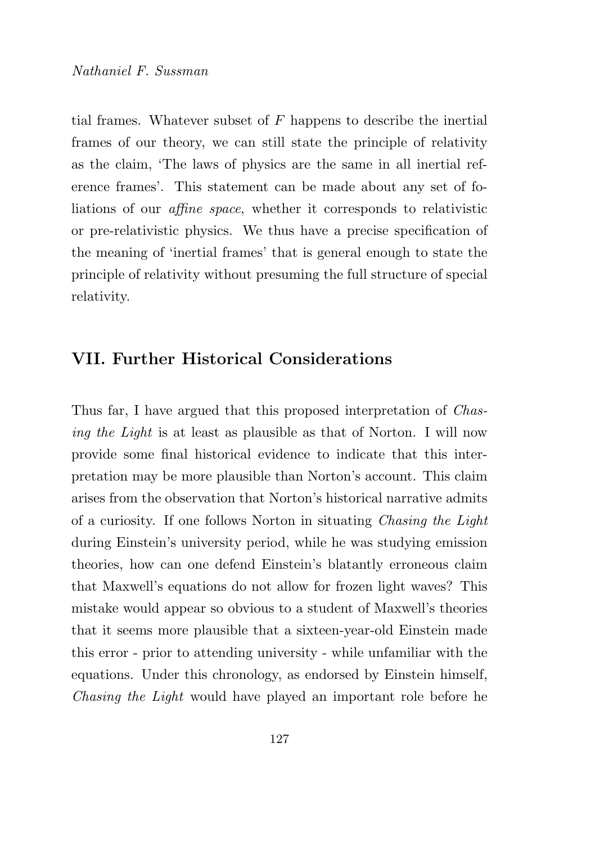tial frames. Whatever subset of  $F$  happens to describe the inertial frames of our theory, we can still state the principle of relativity as the claim, 'The laws of physics are the same in all inertial reference frames'. This statement can be made about any set of foliations of our affine space, whether it corresponds to relativistic or pre-relativistic physics. We thus have a precise specification of the meaning of 'inertial frames' that is general enough to state the principle of relativity without presuming the full structure of special relativity.

## VII. Further Historical Considerations

Thus far, I have argued that this proposed interpretation of Chasing the Light is at least as plausible as that of Norton. I will now provide some final historical evidence to indicate that this interpretation may be more plausible than Norton's account. This claim arises from the observation that Norton's historical narrative admits of a curiosity. If one follows Norton in situating Chasing the Light during Einstein's university period, while he was studying emission theories, how can one defend Einstein's blatantly erroneous claim that Maxwell's equations do not allow for frozen light waves? This mistake would appear so obvious to a student of Maxwell's theories that it seems more plausible that a sixteen-year-old Einstein made this error - prior to attending university - while unfamiliar with the equations. Under this chronology, as endorsed by Einstein himself, Chasing the Light would have played an important role before he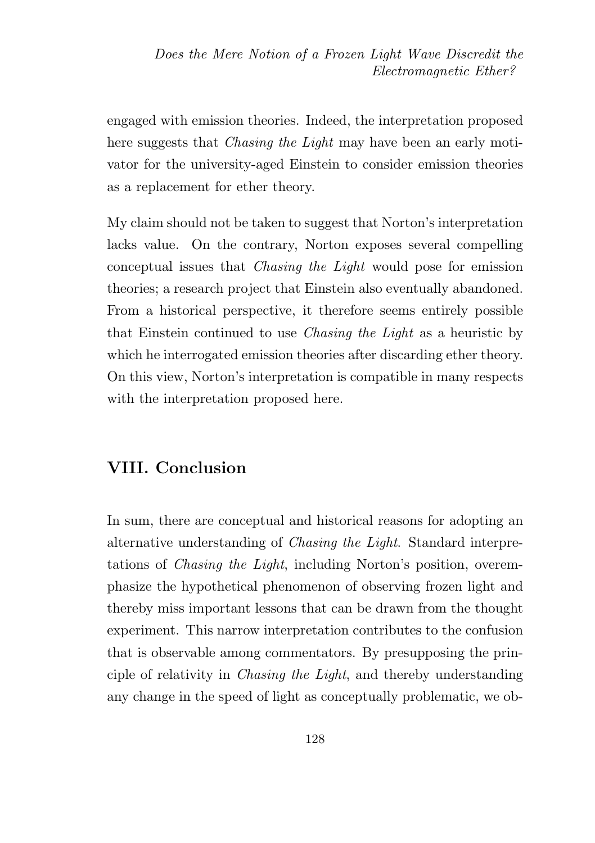engaged with emission theories. Indeed, the interpretation proposed here suggests that *Chasing the Light* may have been an early motivator for the university-aged Einstein to consider emission theories as a replacement for ether theory.

My claim should not be taken to suggest that Norton's interpretation lacks value. On the contrary, Norton exposes several compelling conceptual issues that Chasing the Light would pose for emission theories; a research project that Einstein also eventually abandoned. From a historical perspective, it therefore seems entirely possible that Einstein continued to use Chasing the Light as a heuristic by which he interrogated emission theories after discarding ether theory. On this view, Norton's interpretation is compatible in many respects with the interpretation proposed here.

### VIII. Conclusion

In sum, there are conceptual and historical reasons for adopting an alternative understanding of Chasing the Light. Standard interpretations of Chasing the Light, including Norton's position, overemphasize the hypothetical phenomenon of observing frozen light and thereby miss important lessons that can be drawn from the thought experiment. This narrow interpretation contributes to the confusion that is observable among commentators. By presupposing the principle of relativity in Chasing the Light, and thereby understanding any change in the speed of light as conceptually problematic, we ob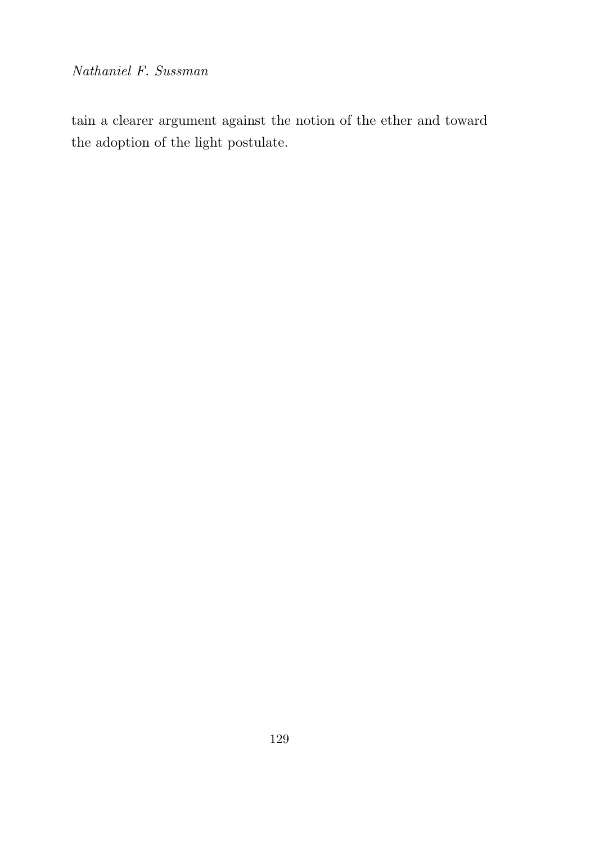Nathaniel F. Sussman

tain a clearer argument against the notion of the ether and toward the adoption of the light postulate.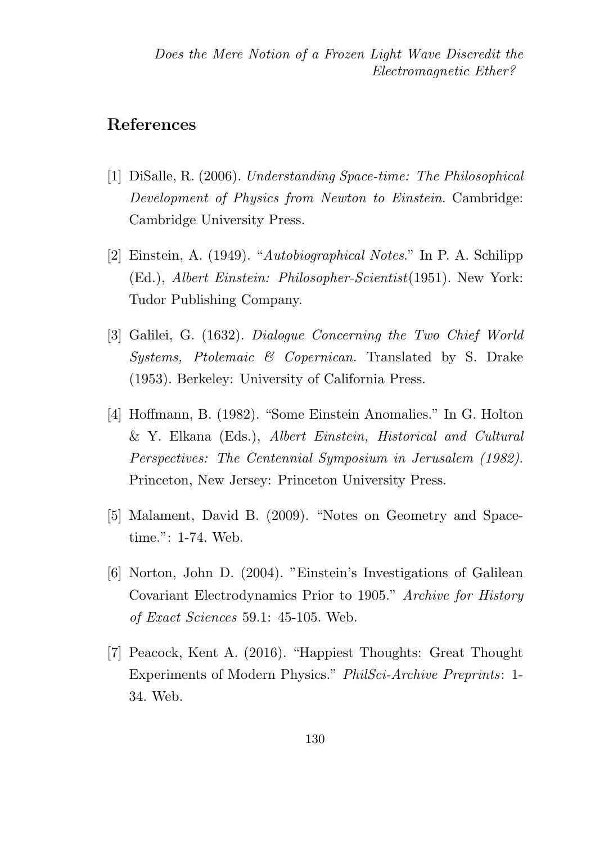#### References

- [1] DiSalle, R. (2006). Understanding Space-time: The Philosophical Development of Physics from Newton to Einstein. Cambridge: Cambridge University Press.
- [2] Einstein, A. (1949). "Autobiographical Notes." In P. A. Schilipp (Ed.), Albert Einstein: Philosopher-Scientist(1951). New York: Tudor Publishing Company.
- [3] Galilei, G. (1632). Dialogue Concerning the Two Chief World Systems, Ptolemaic & Copernican. Translated by S. Drake (1953). Berkeley: University of California Press.
- [4] Hoffmann, B. (1982). "Some Einstein Anomalies." In G. Holton & Y. Elkana (Eds.), Albert Einstein, Historical and Cultural Perspectives: The Centennial Symposium in Jerusalem (1982). Princeton, New Jersey: Princeton University Press.
- [5] Malament, David B. (2009). "Notes on Geometry and Spacetime.": 1-74. Web.
- [6] Norton, John D. (2004). "Einstein's Investigations of Galilean Covariant Electrodynamics Prior to 1905." Archive for History of Exact Sciences 59.1: 45-105. Web.
- [7] Peacock, Kent A. (2016). "Happiest Thoughts: Great Thought Experiments of Modern Physics." PhilSci-Archive Preprints: 1- 34. Web.